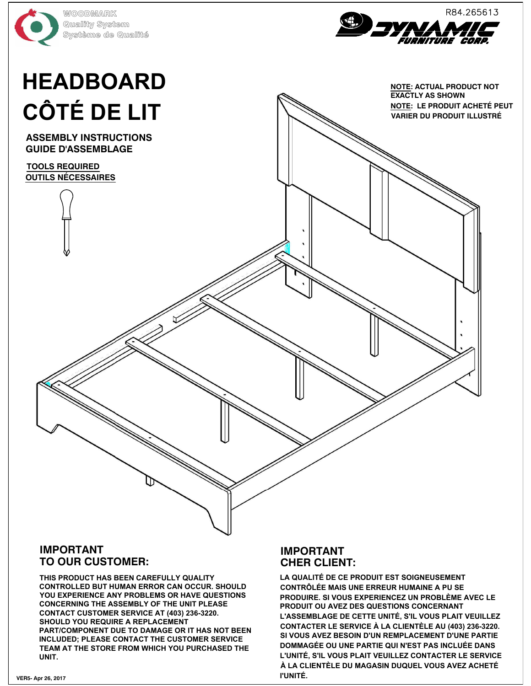



## **VARIER DU PRODUIT ILLUSTRÉ<br>
VARIER DU PROPERTE DE LIT<br>
CÔTÉ DE LIT<br>
VARIER DU PRODUIT ACHETÉ PRODUCT NOT**

**NOTE: ACTUAL PRODUCT NOT EXACTLY AS SHOWN EXACTLY AS SHOWN<br>NOTE: LE PRODUIT ACHETÉ PEUT** 

COTÉ DE LIT<br>
ASSEMBLY NETRUCTIONS<br>
CULTURE DE LITT<br>
CULTURE DE LITT<br>
CULTURE DE LITT<br>
CULTURE DE LITT<br>
CULTURE DE LITT<br>
CULTURE DE LITT<br>
CULTURE DE LITT (CULTURE DE LITTE DE LITTE DE LITTE DE LITTE DE LITTE DE LITTE DE LIT